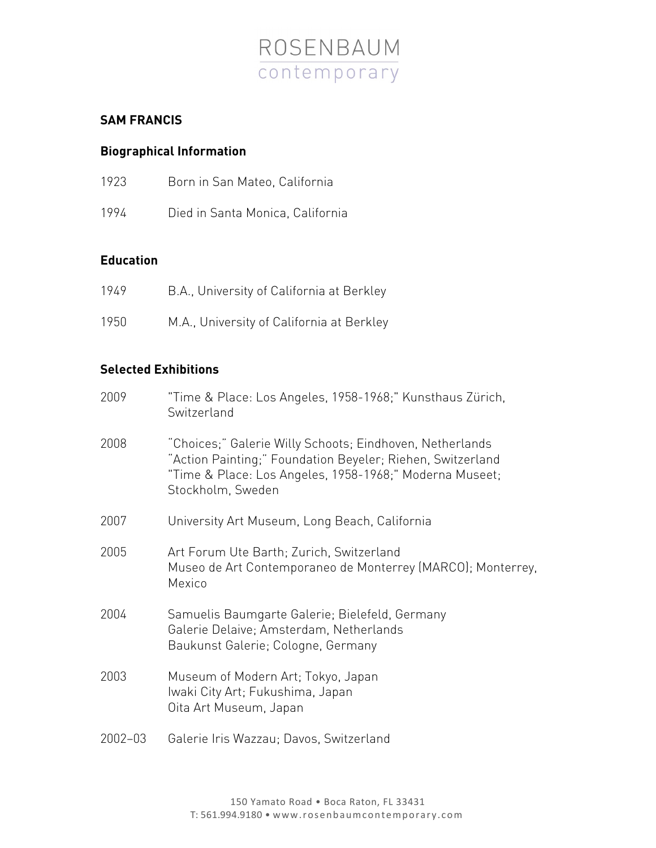

# **SAM FRANCIS**

# **Biographical Information**

| 1923 |  |  |  | Born in San Mateo, California |
|------|--|--|--|-------------------------------|
|------|--|--|--|-------------------------------|

1994 Died in Santa Monica, California

### **Education**

| 1949 | B.A., University of California at Berkley |
|------|-------------------------------------------|
| 1950 | M.A., University of California at Berkley |

### **Selected Exhibitions**

| 2009    | "Time & Place: Los Angeles, 1958-1968;" Kunsthaus Zürich,<br>Switzerland                                                                                                                               |
|---------|--------------------------------------------------------------------------------------------------------------------------------------------------------------------------------------------------------|
| 2008    | "Choices;" Galerie Willy Schoots; Eindhoven, Netherlands<br>"Action Painting;" Foundation Beyeler; Riehen, Switzerland<br>"Time & Place: Los Angeles, 1958-1968;" Moderna Museet;<br>Stockholm, Sweden |
| 2007    | University Art Museum, Long Beach, California                                                                                                                                                          |
| 2005    | Art Forum Ute Barth; Zurich, Switzerland<br>Museo de Art Contemporaneo de Monterrey (MARCO); Monterrey,<br>Mexico                                                                                      |
| 2004    | Samuelis Baumgarte Galerie; Bielefeld, Germany<br>Galerie Delaive; Amsterdam, Netherlands<br>Baukunst Galerie; Cologne, Germany                                                                        |
| 2003    | Museum of Modern Art; Tokyo, Japan<br>Iwaki City Art; Fukushima, Japan<br>Oita Art Museum, Japan                                                                                                       |
| 2002-03 | Galerie Iris Wazzau; Davos, Switzerland                                                                                                                                                                |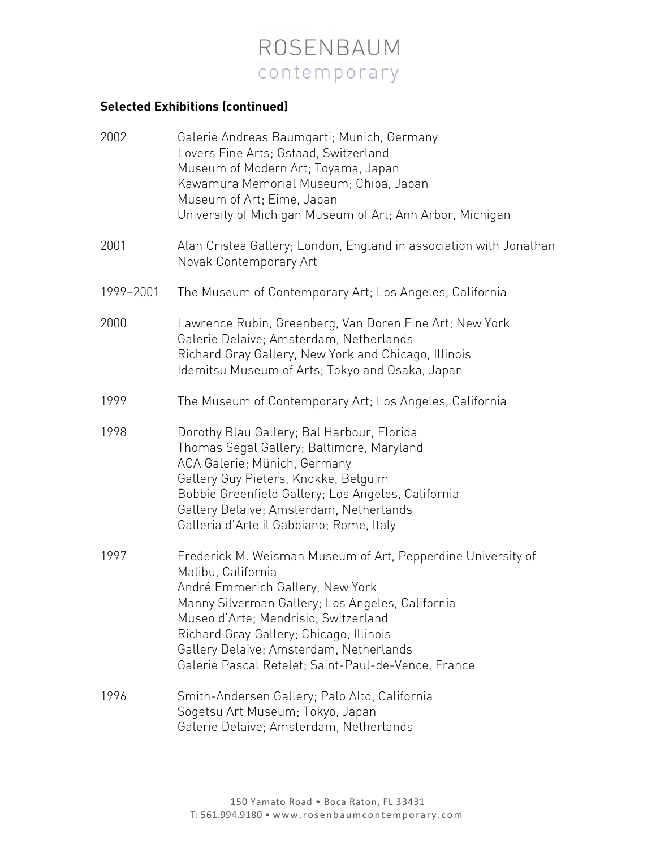

# **Selected Exhibitions (continued)**

| 2002      | Galerie Andreas Baumgarti; Munich, Germany<br>Lovers Fine Arts; Gstaad, Switzerland<br>Museum of Modern Art; Toyama, Japan<br>Kawamura Memorial Museum; Chiba, Japan<br>Museum of Art; Eime, Japan<br>University of Michigan Museum of Art; Ann Arbor, Michigan                                                                                                 |
|-----------|-----------------------------------------------------------------------------------------------------------------------------------------------------------------------------------------------------------------------------------------------------------------------------------------------------------------------------------------------------------------|
| 2001      | Alan Cristea Gallery; London, England in association with Jonathan<br>Novak Contemporary Art                                                                                                                                                                                                                                                                    |
| 1999-2001 | The Museum of Contemporary Art; Los Angeles, California                                                                                                                                                                                                                                                                                                         |
| 2000      | Lawrence Rubin, Greenberg, Van Doren Fine Art; New York<br>Galerie Delaive; Amsterdam, Netherlands<br>Richard Gray Gallery, New York and Chicago, Illinois<br>Idemitsu Museum of Arts; Tokyo and Osaka, Japan                                                                                                                                                   |
| 1999      | The Museum of Contemporary Art; Los Angeles, California                                                                                                                                                                                                                                                                                                         |
| 1998      | Dorothy Blau Gallery; Bal Harbour, Florida<br>Thomas Segal Gallery; Baltimore, Maryland<br>ACA Galerie; Münich, Germany<br>Gallery Guy Pieters, Knokke, Belguim<br>Bobbie Greenfield Gallery; Los Angeles, California<br>Gallery Delaive; Amsterdam, Netherlands<br>Galleria d'Arte il Gabbiano; Rome, Italy                                                    |
| 1997      | Frederick M. Weisman Museum of Art, Pepperdine University of<br>Malibu, California<br>André Emmerich Gallery, New York<br>Manny Silverman Gallery; Los Angeles, California<br>Museo d'Arte; Mendrisio, Switzerland<br>Richard Gray Gallery; Chicago, Illinois<br>Gallery Delaive; Amsterdam, Netherlands<br>Galerie Pascal Retelet; Saint-Paul-de-Vence, France |
| 1996      | Smith-Andersen Gallery; Palo Alto, California<br>Sogetsu Art Museum; Tokyo, Japan<br>Galerie Delaive; Amsterdam, Netherlands                                                                                                                                                                                                                                    |